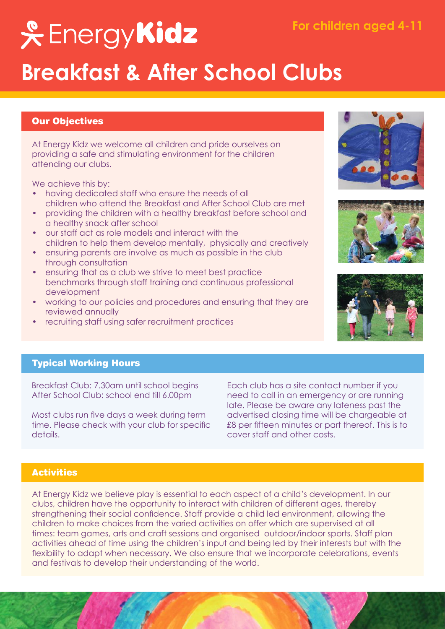# **& EnergyKidz**

## **Breakfast & After School Clubs**

#### Our Objectives

At Energy Kidz we welcome all children and pride ourselves on providing a safe and stimulating environment for the children attending our clubs.

We achieve this by:

- having dedicated staff who ensure the needs of all children who attend the Breakfast and After School Club are met
- providing the children with a healthy breakfast before school and a healthy snack after school
- our staff act as role models and interact with the children to help them develop mentally, physically and creatively
- ensuring parents are involve as much as possible in the club through consultation
- ensuring that as a club we strive to meet best practice benchmarks through staff training and continuous professional development
- working to our policies and procedures and ensuring that they are reviewed annually
- recruiting staff using safer recruitment practices







#### Typical Working Hours

Breakfast Club: 7.30am until school begins After School Club: school end till 6.00pm

Most clubs run five days a week during term time. Please check with your club for specific details.

Each club has a site contact number if you need to call in an emergency or are running late. Please be aware any lateness past the advertised closing time will be chargeable at £8 per fifteen minutes or part thereof. This is to cover staff and other costs.

#### **Activities**

At Energy Kidz we believe play is essential to each aspect of a child's development. In our clubs, children have the opportunity to interact with children of different ages, thereby strengthening their social confidence. Staff provide a child led environment, allowing the children to make choices from the varied activities on offer which are supervised at all times: team games, arts and craft sessions and organised outdoor/indoor sports. Staff plan activities ahead of time using the children's input and being led by their interests but with the flexibility to adapt when necessary. We also ensure that we incorporate celebrations, events and festivals to develop their understanding of the world.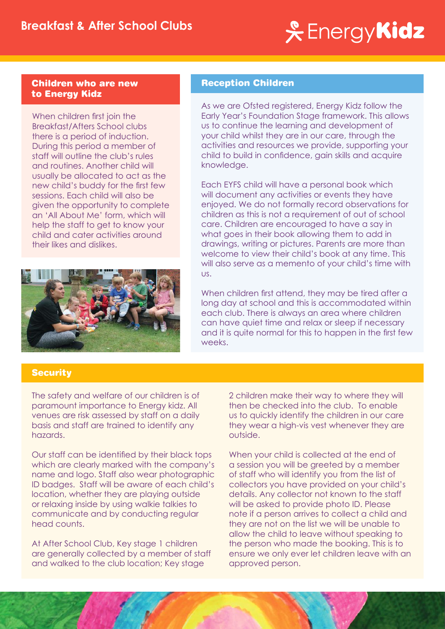### & Energy**Kidz**

#### Children who are new to Energy Kidz

When children first join the Breakfast/Afters School clubs there is a period of induction. During this period a member of staff will outline the club's rules and routines. Another child will usually be allocated to act as the new child's buddy for the first few sessions. Each child will also be given the opportunity to complete an 'All About Me' form, which will help the staff to get to know your child and cater activities around their likes and dislikes.



#### Reception Children

As we are Ofsted registered, Energy Kidz follow the Early Year's Foundation Stage framework. This allows us to continue the learning and development of your child whilst they are in our care, through the activities and resources we provide, supporting your child to build in confidence, gain skills and acquire knowledge.

Each EYFS child will have a personal book which will document any activities or events they have enjoyed. We do not formally record observations for children as this is not a requirement of out of school care. Children are encouraged to have a say in what goes in their book allowing them to add in drawings, writing or pictures. Parents are more than welcome to view their child's book at any time. This will also serve as a memento of your child's time with us.

When children first attend, they may be tired after a long day at school and this is accommodated within each club. There is always an area where children can have quiet time and relax or sleep if necessary and it is quite normal for this to happen in the first few weeks.

### **Security**

The safety and welfare of our children is of paramount importance to Energy kidz. All venues are risk assessed by staff on a daily basis and staff are trained to identify any hazards.

Our staff can be identified by their black tops which are clearly marked with the company's name and logo. Staff also wear photographic ID badges. Staff will be aware of each child's location, whether they are playing outside or relaxing inside by using walkie talkies to communicate and by conducting regular head counts.

At After School Club, Key stage 1 children are generally collected by a member of staff and walked to the club location; Key stage

2 children make their way to where they will then be checked into the club. To enable us to quickly identify the children in our care they wear a high-vis vest whenever they are outside.

When your child is collected at the end of a session you will be greeted by a member of staff who will identify you from the list of collectors you have provided on your child's details. Any collector not known to the staff will be asked to provide photo ID. Please note if a person arrives to collect a child and they are not on the list we will be unable to allow the child to leave without speaking to the person who made the booking. This is to ensure we only ever let children leave with an approved person.